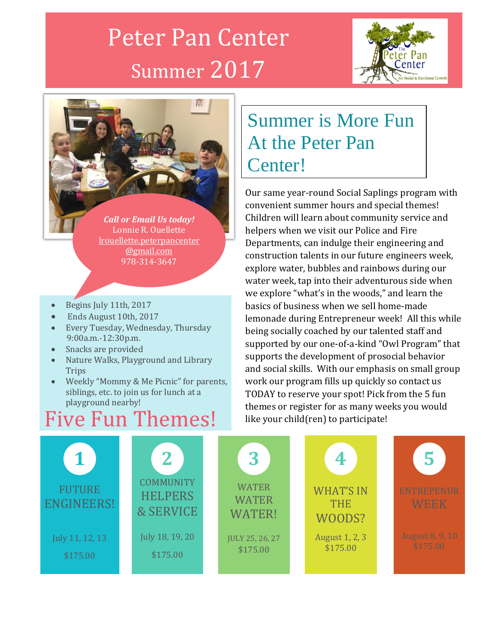# Peter Pan Center Summer 2017





*Call or Email Us today!* Lonnie R. Ouellette [lrouellette.peterpancenter](mailto:lrouellette.peterpancenter@gmail.com) [@gmail.com](mailto:lrouellette.peterpancenter@gmail.com) 978-314-3647

- Begins July 11th, 2017
- Ends August 10th, 2017
- Every Tuesday, Wednesday, Thursday 9:00a.m.-12:30p.m.
- Snacks are provided
- Nature Walks, Playground and Library **Trips**
- Weekly "Mommy & Me Picnic" for parents, siblings, etc. to join us for lunch at a playground nearby!

### Five Fun Themes!

### Summer is More Fun At the Peter Pan Center!

<u>our same year-round Social Saplings program</u> with convenient summer hours and special themes! Children will learn about community service and helpers when we visit our Police and Fire Departments, can indulge their engineering and construction talents in our future engineers week, explore water, bubbles and rainbows during our water week, tap into their adventurous side when we explore "what's in the woods," and learn the basics of business when we sell home-made lemonade during Entrepreneur week! All this while being socially coached by our talented staff and supported by our one-of-a-kind "Owl Program" that supports the development of prosocial behavior and social skills. With our emphasis on small group work our program fills up quickly so contact us TODAY to reserve your spot! Pick from the 5 fun themes or register for as many weeks you would like your child(ren) to participate!

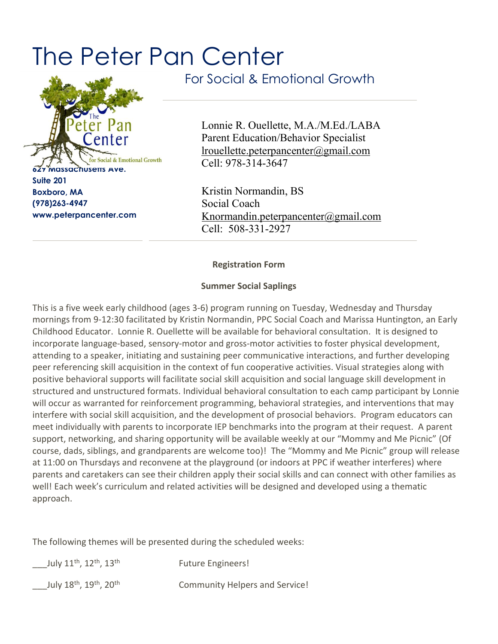## The Peter Pan Center



**Suite 201 Boxboro, MA (978)263-4947 www.peterpancenter.com** For Social & Emotional Growth

Lonnie R. Ouellette, M.A./M.Ed./LABA Parent Education/Behavior Specialist [lrouellette.peterpancenter@gmail.com](mailto:lrouellette.peterpancenter@gmail.com) Cell: 978-314-3647

Kristin Normandin, BS Social Coach [Knormandin.peterpancenter@gmail.com](mailto:Knormandin.peterpancenter@gmail.com) Cell: 508-331-2927

**Registration Form**

#### **Summer Social Saplings**

This is a five week early childhood (ages 3-6) program running on Tuesday, Wednesday and Thursday mornings from 9-12:30 facilitated by Kristin Normandin, PPC Social Coach and Marissa Huntington, an Early Childhood Educator. Lonnie R. Ouellette will be available for behavioral consultation. It is designed to incorporate language-based, sensory-motor and gross-motor activities to foster physical development, attending to a speaker, initiating and sustaining peer communicative interactions, and further developing peer referencing skill acquisition in the context of fun cooperative activities. Visual strategies along with positive behavioral supports will facilitate social skill acquisition and social language skill development in structured and unstructured formats. Individual behavioral consultation to each camp participant by Lonnie will occur as warranted for reinforcement programming, behavioral strategies, and interventions that may interfere with social skill acquisition, and the development of prosocial behaviors. Program educators can meet individually with parents to incorporate IEP benchmarks into the program at their request. A parent support, networking, and sharing opportunity will be available weekly at our "Mommy and Me Picnic" (Of course, dads, siblings, and grandparents are welcome too)! The "Mommy and Me Picnic" group will release at 11:00 on Thursdays and reconvene at the playground (or indoors at PPC if weather interferes) where parents and caretakers can see their children apply their social skills and can connect with other families as well! Each week's curriculum and related activities will be designed and developed using a thematic approach.

The following themes will be presented during the scheduled weeks:

| July 11 <sup>th</sup> , 12 <sup>th</sup> , 13 <sup>th</sup> | <b>Future Engineers!</b>              |
|-------------------------------------------------------------|---------------------------------------|
| July 18 <sup>th</sup> , 19 <sup>th</sup> , 20 <sup>th</sup> | <b>Community Helpers and Service!</b> |